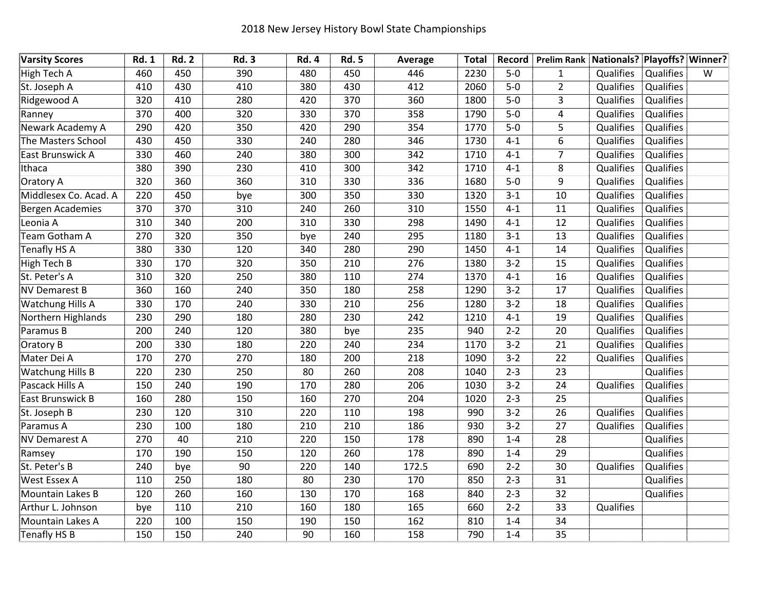| <b>Varsity Scores</b>   | <b>Rd. 1</b> | <b>Rd. 2</b> | <b>Rd. 3</b>    | <b>Rd. 4</b> | <b>Rd. 5</b> | Average | <b>Total</b> | Record  | Prelim Rank Nationals? Playoffs? Winner? |                  |           |   |
|-------------------------|--------------|--------------|-----------------|--------------|--------------|---------|--------------|---------|------------------------------------------|------------------|-----------|---|
| High Tech A             | 460          | 450          | 390             | 480          | 450          | 446     | 2230         | $5-0$   | $\mathbf{1}$                             | Qualifies        | Qualifies | W |
| St. Joseph A            | 410          | 430          | 410             | 380          | 430          | 412     | 2060         | $5-0$   | $\overline{2}$                           | Qualifies        | Qualifies |   |
| Ridgewood A             | 320          | 410          | 280             | 420          | 370          | 360     | 1800         | $5-0$   | $\overline{3}$                           | <b>Qualifies</b> | Qualifies |   |
| Ranney                  | 370          | 400          | 320             | 330          | 370          | 358     | 1790         | $5-0$   | $\overline{4}$                           | <b>Qualifies</b> | Qualifies |   |
| Newark Academy A        | 290          | 420          | 350             | 420          | 290          | 354     | 1770         | $5-0$   | 5                                        | Qualifies        | Qualifies |   |
| The Masters School      | 430          | 450          | 330             | 240          | 280          | 346     | 1730         | $4 - 1$ | 6                                        | Qualifies        | Qualifies |   |
| East Brunswick A        | 330          | 460          | 240             | 380          | 300          | 342     | 1710         | $4 - 1$ | $\overline{7}$                           | Qualifies        | Qualifies |   |
| Ithaca                  | 380          | 390          | 230             | 410          | 300          | 342     | 1710         | $4 - 1$ | 8                                        | Qualifies        | Qualifies |   |
| Oratory A               | 320          | 360          | 360             | 310          | 330          | 336     | 1680         | $5-0$   | 9                                        | Qualifies        | Qualifies |   |
| Middlesex Co. Acad. A   | 220          | 450          | bye             | 300          | 350          | 330     | 1320         | $3 - 1$ | 10                                       | Qualifies        | Qualifies |   |
| <b>Bergen Academies</b> | 370          | 370          | 310             | 240          | 260          | 310     | 1550         | $4 - 1$ | 11                                       | Qualifies        | Qualifies |   |
| Leonia A                | 310          | 340          | 200             | 310          | 330          | 298     | 1490         | $4 - 1$ | 12                                       | Qualifies        | Qualifies |   |
| Team Gotham A           | 270          | 320          | 350             | bye          | 240          | 295     | 1180         | $3 - 1$ | 13                                       | Qualifies        | Qualifies |   |
| Tenafly HS A            | 380          | 330          | 120             | 340          | 280          | 290     | 1450         | $4 - 1$ | 14                                       | Qualifies        | Qualifies |   |
| High Tech B             | 330          | 170          | 320             | 350          | 210          | 276     | 1380         | $3 - 2$ | 15                                       | Qualifies        | Qualifies |   |
| St. Peter's A           | 310          | 320          | 250             | 380          | 110          | 274     | 1370         | $4 - 1$ | 16                                       | Qualifies        | Qualifies |   |
| <b>NV Demarest B</b>    | 360          | 160          | 240             | 350          | 180          | 258     | 1290         | $3 - 2$ | 17                                       | Qualifies        | Qualifies |   |
| Watchung Hills A        | 330          | 170          | 240             | 330          | 210          | 256     | 1280         | $3 - 2$ | 18                                       | Qualifies        | Qualifies |   |
| Northern Highlands      | 230          | 290          | 180             | 280          | 230          | 242     | 1210         | $4 - 1$ | 19                                       | Qualifies        | Qualifies |   |
| Paramus B               | 200          | 240          | 120             | 380          | bye          | 235     | 940          | $2 - 2$ | 20                                       | Qualifies        | Qualifies |   |
| Oratory B               | 200          | 330          | 180             | 220          | 240          | 234     | 1170         | $3 - 2$ | 21                                       | Qualifies        | Qualifies |   |
| Mater Dei A             | 170          | 270          | 270             | 180          | 200          | 218     | 1090         | $3 - 2$ | 22                                       | Qualifies        | Qualifies |   |
| <b>Watchung Hills B</b> | 220          | 230          | 250             | 80           | 260          | 208     | 1040         | $2 - 3$ | 23                                       |                  | Qualifies |   |
| Pascack Hills A         | 150          | 240          | 190             | 170          | 280          | 206     | 1030         | $3 - 2$ | 24                                       | Qualifies        | Qualifies |   |
| East Brunswick B        | 160          | 280          | 150             | 160          | 270          | 204     | 1020         | $2 - 3$ | 25                                       |                  | Qualifies |   |
| St. Joseph B            | 230          | 120          | 310             | 220          | 110          | 198     | 990          | $3 - 2$ | 26                                       | Qualifies        | Qualifies |   |
| Paramus A               | 230          | 100          | 180             | 210          | 210          | 186     | 930          | $3 - 2$ | 27                                       | Qualifies        | Qualifies |   |
| <b>NV Demarest A</b>    | 270          | 40           | 210             | 220          | 150          | 178     | 890          | $1 - 4$ | 28                                       |                  | Qualifies |   |
| Ramsey                  | 170          | 190          | 150             | 120          | 260          | 178     | 890          | $1 - 4$ | 29                                       |                  | Qualifies |   |
| St. Peter's B           | 240          | bye          | $\overline{90}$ | 220          | 140          | 172.5   | 690          | $2 - 2$ | 30                                       | Qualifies        | Qualifies |   |
| West Essex A            | 110          | 250          | 180             | 80           | 230          | 170     | 850          | $2 - 3$ | 31                                       |                  | Qualifies |   |
| Mountain Lakes B        | 120          | 260          | 160             | 130          | 170          | 168     | 840          | $2 - 3$ | 32                                       |                  | Qualifies |   |
| Arthur L. Johnson       | bye          | 110          | 210             | 160          | 180          | 165     | 660          | $2 - 2$ | 33                                       | Qualifies        |           |   |
| Mountain Lakes A        | 220          | 100          | 150             | 190          | 150          | 162     | 810          | $1 - 4$ | 34                                       |                  |           |   |
| Tenafly HS B            | 150          | 150          | 240             | 90           | 160          | 158     | 790          | $1 - 4$ | 35                                       |                  |           |   |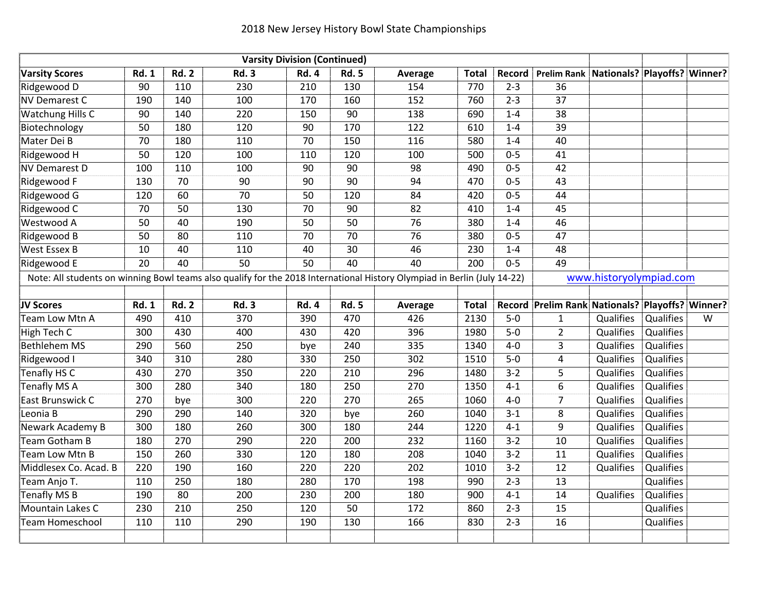| <b>Varsity Division (Continued)</b>                                                                                      |              |              |              |              |              |         |              |         |                                                 |                         |           |   |
|--------------------------------------------------------------------------------------------------------------------------|--------------|--------------|--------------|--------------|--------------|---------|--------------|---------|-------------------------------------------------|-------------------------|-----------|---|
| <b>Varsity Scores</b>                                                                                                    | <b>Rd. 1</b> | <b>Rd. 2</b> | <b>Rd. 3</b> | <b>Rd. 4</b> | <b>Rd. 5</b> | Average | <b>Total</b> | Record  | Prelim Rank   Nationals?   Playoffs?   Winner?  |                         |           |   |
| Ridgewood D                                                                                                              | 90           | 110          | 230          | 210          | 130          | 154     | 770          | $2 - 3$ | 36                                              |                         |           |   |
| <b>NV Demarest C</b>                                                                                                     | 190          | 140          | 100          | 170          | 160          | 152     | 760          | $2 - 3$ | 37                                              |                         |           |   |
| Watchung Hills C                                                                                                         | 90           | 140          | 220          | 150          | 90           | 138     | 690          | $1 - 4$ | 38                                              |                         |           |   |
| Biotechnology                                                                                                            | 50           | 180          | 120          | 90           | 170          | 122     | 610          | $1 - 4$ | 39                                              |                         |           |   |
| Mater Dei B                                                                                                              | 70           | 180          | 110          | 70           | 150          | 116     | 580          | $1 - 4$ | 40                                              |                         |           |   |
| Ridgewood H                                                                                                              | 50           | 120          | 100          | 110          | 120          | 100     | 500          | $0 - 5$ | 41                                              |                         |           |   |
| <b>NV Demarest D</b>                                                                                                     | 100          | 110          | 100          | 90           | 90           | 98      | 490          | $0 - 5$ | 42                                              |                         |           |   |
| Ridgewood F                                                                                                              | 130          | 70           | 90           | 90           | 90           | 94      | 470          | $0 - 5$ | 43                                              |                         |           |   |
| Ridgewood G                                                                                                              | 120          | 60           | 70           | 50           | 120          | 84      | 420          | $0 - 5$ | 44                                              |                         |           |   |
| Ridgewood C                                                                                                              | 70           | 50           | 130          | 70           | 90           | 82      | 410          | $1 - 4$ | 45                                              |                         |           |   |
| Westwood A                                                                                                               | 50           | 40           | 190          | 50           | 50           | 76      | 380          | $1 - 4$ | 46                                              |                         |           |   |
| Ridgewood B                                                                                                              | 50           | 80           | 110          | 70           | 70           | 76      | 380          | $0 - 5$ | 47                                              |                         |           |   |
| <b>West Essex B</b>                                                                                                      | 10           | 40           | 110          | 40           | 30           | 46      | 230          | $1 - 4$ | 48                                              |                         |           |   |
| Ridgewood E                                                                                                              | 20           | 40           | 50           | 50           | 40           | 40      | 200          | $0 - 5$ | 49                                              |                         |           |   |
| Note: All students on winning Bowl teams also qualify for the 2018 International History Olympiad in Berlin (July 14-22) |              |              |              |              |              |         |              |         |                                                 | www.historyolympiad.com |           |   |
|                                                                                                                          |              |              |              |              |              |         |              |         |                                                 |                         |           |   |
| JV Scores                                                                                                                | <b>Rd. 1</b> | <b>Rd. 2</b> | <b>Rd. 3</b> | <b>Rd. 4</b> | <b>Rd. 5</b> | Average | <b>Total</b> |         | Record Prelim Rank Nationals? Playoffs? Winner? |                         |           |   |
| Team Low Mtn A                                                                                                           | 490          | 410          | 370          | 390          | 470          | 426     | 2130         | $5-0$   | $\mathbf{1}$                                    | Qualifies               | Qualifies | W |
| High Tech C                                                                                                              | 300          | 430          | 400          | 430          | 420          | 396     | 1980         | $5-0$   | $\overline{2}$                                  | Qualifies               | Qualifies |   |
| <b>Bethlehem MS</b>                                                                                                      | 290          | 560          | 250          | bye          | 240          | 335     | 1340         | $4-0$   | 3                                               | Qualifies               | Qualifies |   |
| Ridgewood I                                                                                                              | 340          | 310          | 280          | 330          | 250          | 302     | 1510         | $5-0$   | 4                                               | Qualifies               | Qualifies |   |
| Tenafly HS C                                                                                                             | 430          | 270          | 350          | 220          | 210          | 296     | 1480         | $3 - 2$ | 5                                               | Qualifies               | Qualifies |   |
| Tenafly MS A                                                                                                             | 300          | 280          | 340          | 180          | 250          | 270     | 1350         | $4 - 1$ | 6                                               | Qualifies               | Qualifies |   |
| East Brunswick C                                                                                                         | 270          | bye          | 300          | 220          | 270          | 265     | 1060         | $4-0$   | $\overline{7}$                                  | Qualifies               | Qualifies |   |
| Leonia B                                                                                                                 | 290          | 290          | 140          | 320          | bye          | 260     | 1040         | $3 - 1$ | 8                                               | Qualifies               | Qualifies |   |
| Newark Academy B                                                                                                         | 300          | 180          | 260          | 300          | 180          | 244     | 1220         | $4 - 1$ | 9                                               | Qualifies               | Qualifies |   |
| Team Gotham B                                                                                                            | 180          | 270          | 290          | 220          | 200          | 232     | 1160         | $3 - 2$ | 10                                              | Qualifies               | Qualifies |   |
| Team Low Mtn B                                                                                                           | 150          | 260          | 330          | 120          | 180          | 208     | 1040         | $3 - 2$ | 11                                              | Qualifies               | Qualifies |   |
| Middlesex Co. Acad. B                                                                                                    | 220          | 190          | 160          | 220          | 220          | 202     | 1010         | $3 - 2$ | 12                                              | Qualifies               | Qualifies |   |
| Team Anjo T.                                                                                                             | 110          | 250          | 180          | 280          | 170          | 198     | 990          | $2 - 3$ | 13                                              |                         | Qualifies |   |
| <b>Tenafly MS B</b>                                                                                                      | 190          | 80           | 200          | 230          | 200          | 180     | 900          | $4 - 1$ | 14                                              | Qualifies               | Qualifies |   |
| Mountain Lakes C                                                                                                         | 230          | 210          | 250          | 120          | 50           | 172     | 860          | $2 - 3$ | 15                                              |                         | Qualifies |   |
| <b>Team Homeschool</b>                                                                                                   | 110          | 110          | 290          | 190          | 130          | 166     | 830          | $2 - 3$ | 16                                              |                         | Qualifies |   |
|                                                                                                                          |              |              |              |              |              |         |              |         |                                                 |                         |           |   |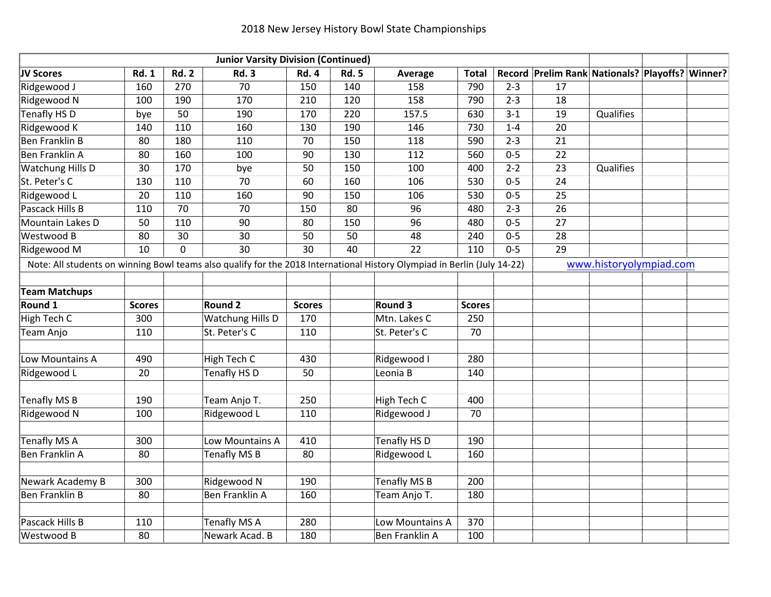|                                                                                                                          |               |                | <b>Junior Varsity Division (Continued)</b> |                 |              |                     |               |         |                                                 |                         |  |
|--------------------------------------------------------------------------------------------------------------------------|---------------|----------------|--------------------------------------------|-----------------|--------------|---------------------|---------------|---------|-------------------------------------------------|-------------------------|--|
| JV Scores                                                                                                                | <b>Rd. 1</b>  | <b>Rd. 2</b>   | <b>Rd. 3</b>                               | <b>Rd. 4</b>    | <b>Rd. 5</b> | Average             | <b>Total</b>  |         | Record Prelim Rank Nationals? Playoffs? Winner? |                         |  |
| Ridgewood J                                                                                                              | 160           | 270            | 70                                         | 150             | 140          | 158                 | 790           | $2 - 3$ | 17                                              |                         |  |
| Ridgewood N                                                                                                              | 100           | 190            | 170                                        | 210             | 120          | 158                 | 790           | $2 - 3$ | 18                                              |                         |  |
| <b>Tenafly HS D</b>                                                                                                      | bye           | 50             | 190                                        | 170             | 220          | 157.5               | 630           | $3 - 1$ | 19                                              | Qualifies               |  |
| Ridgewood K                                                                                                              | 140           | 110            | 160                                        | 130             | 190          | 146                 | 730           | $1 - 4$ | 20                                              |                         |  |
| <b>Ben Franklin B</b>                                                                                                    | 80            | 180            | 110                                        | 70              | 150          | 118                 | 590           | $2 - 3$ | 21                                              |                         |  |
| Ben Franklin A                                                                                                           | 80            | 160            | 100                                        | 90              | 130          | 112                 | 560           | $0 - 5$ | 22                                              |                         |  |
| <b>Watchung Hills D</b>                                                                                                  | 30            | 170            | bye                                        | 50              | 150          | 100                 | 400           | $2 - 2$ | 23                                              | Qualifies               |  |
| St. Peter's C                                                                                                            | 130           | 110            | 70                                         | 60              | 160          | 106                 | 530           | $0 - 5$ | 24                                              |                         |  |
| Ridgewood L                                                                                                              | 20            | 110            | 160                                        | 90              | 150          | 106                 | 530           | $0 - 5$ | 25                                              |                         |  |
| Pascack Hills B                                                                                                          | 110           | 70             | 70                                         | 150             | 80           | 96                  | 480           | $2 - 3$ | 26                                              |                         |  |
| Mountain Lakes D                                                                                                         | 50            | 110            | 90                                         | 80              | 150          | 96                  | 480           | $0 - 5$ | 27                                              |                         |  |
| Westwood B                                                                                                               | 80            | 30             | 30                                         | 50              | 50           | 48                  | 240           | $0 - 5$ | 28                                              |                         |  |
| Ridgewood M                                                                                                              | 10            | $\overline{0}$ | $\overline{30}$                            | $\overline{30}$ | 40           | $\overline{22}$     | 110           | $0 - 5$ | $\overline{29}$                                 |                         |  |
| Note: All students on winning Bowl teams also qualify for the 2018 International History Olympiad in Berlin (July 14-22) |               |                |                                            |                 |              |                     |               |         |                                                 | www.historyolympiad.com |  |
|                                                                                                                          |               |                |                                            |                 |              |                     |               |         |                                                 |                         |  |
| <b>Team Matchups</b>                                                                                                     |               |                |                                            |                 |              |                     |               |         |                                                 |                         |  |
| Round 1                                                                                                                  | <b>Scores</b> |                | <b>Round 2</b>                             | <b>Scores</b>   |              | Round 3             | <b>Scores</b> |         |                                                 |                         |  |
| High Tech C                                                                                                              | 300           |                | <b>Watchung Hills D</b>                    | 170             |              | Mtn. Lakes C        | 250           |         |                                                 |                         |  |
| Team Anjo                                                                                                                | 110           |                | St. Peter's C                              | 110             |              | St. Peter's C       | 70            |         |                                                 |                         |  |
| Low Mountains A                                                                                                          | 490           |                | High Tech C                                | 430             |              | Ridgewood I         | 280           |         |                                                 |                         |  |
| Ridgewood L                                                                                                              | 20            |                | <b>Tenafly HS D</b>                        | 50              |              | Leonia B            | 140           |         |                                                 |                         |  |
|                                                                                                                          |               |                |                                            |                 |              |                     |               |         |                                                 |                         |  |
| <b>Tenafly MS B</b>                                                                                                      | 190           |                | Team Anjo T.                               | 250             |              | High Tech C         | 400           |         |                                                 |                         |  |
| Ridgewood N                                                                                                              | 100           |                | Ridgewood L                                | 110             |              | Ridgewood J         | 70            |         |                                                 |                         |  |
| Tenafly MS A                                                                                                             | 300           |                | Low Mountains A                            | 410             |              | <b>Tenafly HS D</b> | 190           |         |                                                 |                         |  |
| <b>Ben Franklin A</b>                                                                                                    | 80            |                | <b>Tenafly MS B</b>                        | 80              |              | Ridgewood L         | 160           |         |                                                 |                         |  |
|                                                                                                                          |               |                |                                            |                 |              |                     |               |         |                                                 |                         |  |
| Newark Academy B                                                                                                         | 300           |                | Ridgewood N                                | 190             |              | <b>Tenafly MS B</b> | 200           |         |                                                 |                         |  |
| <b>Ben Franklin B</b>                                                                                                    | 80            |                | Ben Franklin A                             | 160             |              | Team Anjo T.        | 180           |         |                                                 |                         |  |
|                                                                                                                          |               |                |                                            |                 |              |                     |               |         |                                                 |                         |  |
| Pascack Hills B                                                                                                          | 110           |                | Tenafly MS A                               | 280             |              | Low Mountains A     | 370           |         |                                                 |                         |  |
| Westwood B                                                                                                               | 80            |                | Newark Acad. B                             | 180             |              | Ben Franklin A      | 100           |         |                                                 |                         |  |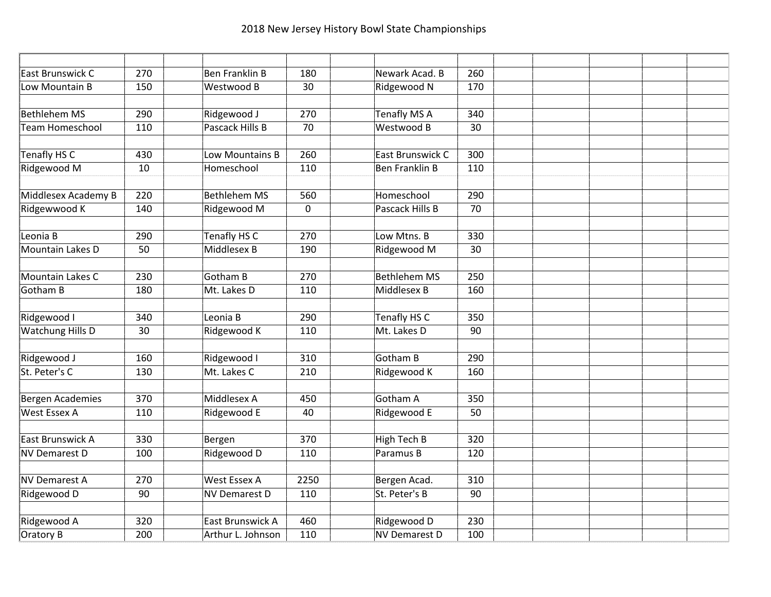| East Brunswick C        | 270        | <b>Ben Franklin B</b> | 180              | Newark Acad. B       | 260 |  |  |
|-------------------------|------------|-----------------------|------------------|----------------------|-----|--|--|
| Low Mountain B          | 150        | Westwood B            | 30               | Ridgewood N          | 170 |  |  |
|                         |            |                       |                  |                      |     |  |  |
| <b>Bethlehem MS</b>     | 290        | Ridgewood J           | 270              | <b>Tenafly MS A</b>  | 340 |  |  |
| <b>Team Homeschool</b>  | 110        | Pascack Hills B       | $\overline{70}$  | Westwood B           | 30  |  |  |
|                         |            |                       |                  |                      |     |  |  |
| Tenafly HS C            | 430        | Low Mountains B       | 260              | East Brunswick C     | 300 |  |  |
| Ridgewood M             | 10         | Homeschool            | 110              | Ben Franklin B       | 110 |  |  |
| Middlesex Academy B     | 220        | <b>Bethlehem MS</b>   | 560              | Homeschool           | 290 |  |  |
| Ridgewwood K            | 140        | Ridgewood M           | $\mathbf 0$      | Pascack Hills B      | 70  |  |  |
|                         |            |                       |                  |                      |     |  |  |
| Leonia B                | 290        | <b>Tenafly HS C</b>   | $\overline{270}$ | Low Mtns. B          | 330 |  |  |
| Mountain Lakes D        | 50         | <b>Middlesex B</b>    | 190              | Ridgewood M          | 30  |  |  |
|                         |            |                       |                  |                      |     |  |  |
| Mountain Lakes C        | 230        | Gotham B              | 270              | <b>Bethlehem MS</b>  | 250 |  |  |
| <b>Gotham B</b>         | 180        | Mt. Lakes D           | 110              | Middlesex B          | 160 |  |  |
|                         |            |                       |                  |                      |     |  |  |
| Ridgewood I             | 340        | Leonia B              | 290              | <b>Tenafly HS C</b>  | 350 |  |  |
| <b>Watchung Hills D</b> | 30         | Ridgewood K           | 110              | Mt. Lakes D          | 90  |  |  |
| Ridgewood J             | 160        | Ridgewood I           | 310              | Gotham B             | 290 |  |  |
| St. Peter's C           | 130        | Mt. Lakes C           | 210              | Ridgewood K          | 160 |  |  |
|                         |            |                       |                  |                      |     |  |  |
| <b>Bergen Academies</b> | 370        | Middlesex A           | 450              | Gotham A             | 350 |  |  |
| <b>West Essex A</b>     | 110        | Ridgewood E           | 40               | Ridgewood E          | 50  |  |  |
|                         |            |                       |                  |                      |     |  |  |
| East Brunswick A        | 330<br>100 | Bergen                | 370              | High Tech B          | 320 |  |  |
| <b>NV Demarest D</b>    |            | Ridgewood D           | 110              | Paramus B            | 120 |  |  |
| <b>NV Demarest A</b>    | 270        | <b>West Essex A</b>   | 2250             | Bergen Acad.         | 310 |  |  |
| Ridgewood D             | 90         | <b>NV Demarest D</b>  | 110              | St. Peter's B        | 90  |  |  |
|                         |            |                       |                  |                      |     |  |  |
| Ridgewood A             | 320        | East Brunswick A      | 460              | Ridgewood D          | 230 |  |  |
| Oratory B               | 200        | Arthur L. Johnson     | 110              | <b>NV Demarest D</b> | 100 |  |  |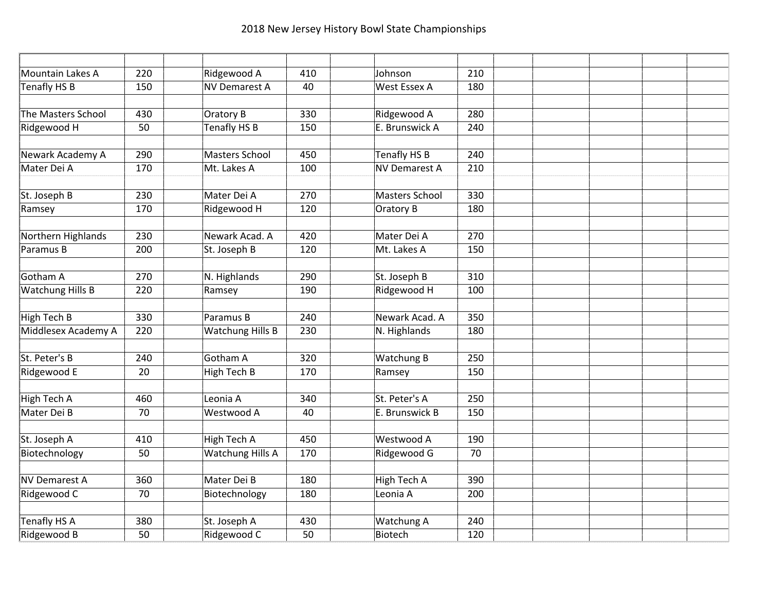| Mountain Lakes A     | 220              | Ridgewood A             | 410 | Johnson              | 210 |  |  |
|----------------------|------------------|-------------------------|-----|----------------------|-----|--|--|
| Tenafly HS B         | 150              | <b>NV Demarest A</b>    | 40  | <b>West Essex A</b>  | 180 |  |  |
|                      |                  |                         |     |                      |     |  |  |
| The Masters School   | 430              | Oratory B               | 330 | Ridgewood A          | 280 |  |  |
| Ridgewood H          | 50               | Tenafly HS B            | 150 | E. Brunswick A       | 240 |  |  |
|                      |                  |                         |     |                      |     |  |  |
| Newark Academy A     | 290              | <b>Masters School</b>   | 450 | <b>Tenafly HS B</b>  | 240 |  |  |
| Mater Dei A          | 170              | Mt. Lakes A             | 100 | <b>NV Demarest A</b> | 210 |  |  |
|                      |                  |                         |     |                      |     |  |  |
| St. Joseph B         | 230              | Mater Dei A             | 270 | Masters School       | 330 |  |  |
| Ramsey               | 170              | Ridgewood H             | 120 | Oratory B            | 180 |  |  |
|                      |                  |                         |     |                      |     |  |  |
| Northern Highlands   | 230              | Newark Acad, A          | 420 | Mater Dei A          | 270 |  |  |
| Paramus B            | 200              | St. Joseph B            | 120 | Mt. Lakes A          | 150 |  |  |
|                      |                  |                         |     |                      |     |  |  |
| Gotham A             | 270              | N. Highlands            | 290 | St. Joseph B         | 310 |  |  |
| Watchung Hills B     | 220              | Ramsey                  | 190 | Ridgewood H          | 100 |  |  |
| <b>High Tech B</b>   | $\overline{330}$ | Paramus B               | 240 | Newark Acad. A       | 350 |  |  |
| Middlesex Academy A  | 220              | Watchung Hills B        | 230 | N. Highlands         | 180 |  |  |
|                      |                  |                         |     |                      |     |  |  |
| St. Peter's B        | 240              | Gotham A                | 320 | <b>Watchung B</b>    | 250 |  |  |
| Ridgewood E          | 20               | <b>High Tech B</b>      | 170 | Ramsey               | 150 |  |  |
|                      |                  |                         |     |                      |     |  |  |
| High Tech A          | 460              | Leonia A                | 340 | St. Peter's A        | 250 |  |  |
| Mater Dei B          | 70               | Westwood A              | 40  | E. Brunswick B       | 150 |  |  |
|                      |                  |                         |     |                      |     |  |  |
| St. Joseph A         | 410              | High Tech A             | 450 | Westwood A           | 190 |  |  |
| Biotechnology        | 50               | <b>Watchung Hills A</b> | 170 | Ridgewood G          | 70  |  |  |
| <b>NV Demarest A</b> | 360              | Mater Dei B             | 180 | High Tech A          | 390 |  |  |
| Ridgewood C          | 70               | Biotechnology           | 180 | Leonia A             | 200 |  |  |
|                      |                  |                         |     |                      |     |  |  |
| <b>Tenafly HS A</b>  | 380              | St. Joseph A            | 430 | <b>Watchung A</b>    | 240 |  |  |
| Ridgewood B          | 50               | Ridgewood C             | 50  | Biotech              | 120 |  |  |
|                      |                  |                         |     |                      |     |  |  |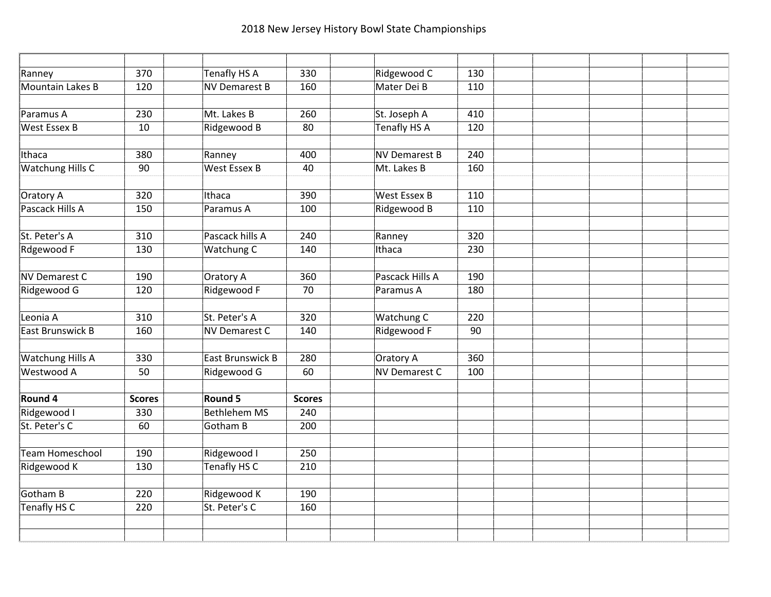| Ranney                  | 370           | <b>Tenafly HS A</b>  | 330             | Ridgewood C          | 130              |  |  |
|-------------------------|---------------|----------------------|-----------------|----------------------|------------------|--|--|
| Mountain Lakes B        | 120           | <b>NV Demarest B</b> | 160             | Mater Dei B          | 110              |  |  |
|                         |               |                      |                 |                      |                  |  |  |
| Paramus A               | 230           | Mt. Lakes B          | 260             | St. Joseph A         | 410              |  |  |
| <b>West Essex B</b>     | 10            | Ridgewood B          | 80              | <b>Tenafly HS A</b>  | 120              |  |  |
|                         |               |                      |                 |                      |                  |  |  |
| Ithaca                  | 380           | Ranney               | 400             | <b>NV Demarest B</b> | 240              |  |  |
| Watchung Hills C        | 90            | <b>West Essex B</b>  | 40              | Mt. Lakes B          | 160              |  |  |
|                         |               |                      |                 |                      |                  |  |  |
| Oratory A               | 320           | Ithaca               | 390             | <b>West Essex B</b>  | 110              |  |  |
| Pascack Hills A         | 150           | Paramus A            | 100             | Ridgewood B          | 110              |  |  |
|                         |               |                      |                 |                      |                  |  |  |
| St. Peter's A           | 310           | Pascack hills A      | 240             | Ranney               | $\overline{320}$ |  |  |
| Rdgewood F              | 130           | Watchung C           | 140             | Ithaca               | 230              |  |  |
|                         |               |                      |                 |                      |                  |  |  |
| <b>NV Demarest C</b>    | 190           | Oratory A            | 360             | Pascack Hills A      | 190              |  |  |
| Ridgewood G             | 120           | Ridgewood F          | $\overline{70}$ | Paramus A            | 180              |  |  |
| Leonia A                | 310           | St. Peter's A        | 320             | <b>Watchung C</b>    | 220              |  |  |
| East Brunswick B        | 160           | NV Demarest C        | 140             | Ridgewood F          | 90               |  |  |
|                         |               |                      |                 |                      |                  |  |  |
| <b>Watchung Hills A</b> | 330           | East Brunswick B     | 280             | <b>Oratory A</b>     | 360              |  |  |
| Westwood A              | 50            | Ridgewood G          | 60              | <b>NV Demarest C</b> | 100              |  |  |
|                         |               |                      |                 |                      |                  |  |  |
| Round 4                 | <b>Scores</b> | Round 5              | <b>Scores</b>   |                      |                  |  |  |
| Ridgewood I             | 330           | <b>Bethlehem MS</b>  | 240             |                      |                  |  |  |
| St. Peter's C           | 60            | Gotham B             | 200             |                      |                  |  |  |
|                         |               |                      |                 |                      |                  |  |  |
| <b>Team Homeschool</b>  | 190           | Ridgewood I          | 250             |                      |                  |  |  |
| Ridgewood K             | 130           | <b>Tenafly HS C</b>  | 210             |                      |                  |  |  |
|                         |               |                      |                 |                      |                  |  |  |
| <b>Gotham B</b>         | 220           | Ridgewood K          | 190             |                      |                  |  |  |
| <b>Tenafly HS C</b>     | 220           | St. Peter's C        | 160             |                      |                  |  |  |
|                         |               |                      |                 |                      |                  |  |  |
|                         |               |                      |                 |                      |                  |  |  |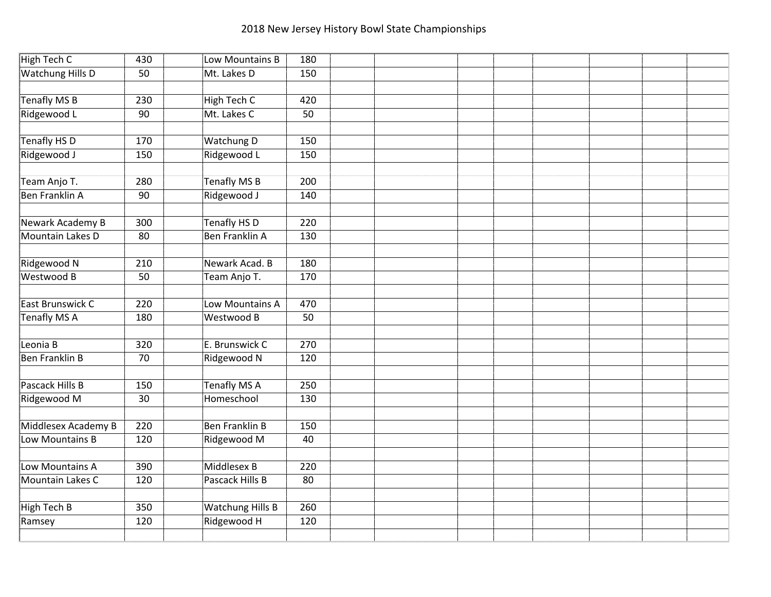| High Tech C             | 430             | Low Mountains B         | 180 |  |  |  |  |
|-------------------------|-----------------|-------------------------|-----|--|--|--|--|
| <b>Watchung Hills D</b> | 50              | Mt. Lakes D             | 150 |  |  |  |  |
|                         |                 |                         |     |  |  |  |  |
| <b>Tenafly MS B</b>     | 230             | <b>High Tech C</b>      | 420 |  |  |  |  |
| Ridgewood L             | 90              | Mt. Lakes C             | 50  |  |  |  |  |
|                         |                 |                         |     |  |  |  |  |
| Tenafly HS D            | 170             | Watchung D              | 150 |  |  |  |  |
| Ridgewood J             | 150             | Ridgewood L             | 150 |  |  |  |  |
|                         |                 |                         |     |  |  |  |  |
| Team Anjo T.            | 280             | <b>Tenafly MS B</b>     | 200 |  |  |  |  |
| <b>Ben Franklin A</b>   | 90              | Ridgewood J             | 140 |  |  |  |  |
|                         |                 |                         |     |  |  |  |  |
| <b>Newark Academy B</b> | 300             | <b>Tenafly HS D</b>     | 220 |  |  |  |  |
| Mountain Lakes D        | $\overline{80}$ | <b>Ben Franklin A</b>   | 130 |  |  |  |  |
|                         |                 |                         |     |  |  |  |  |
| Ridgewood N             | 210             | Newark Acad. B          | 180 |  |  |  |  |
| Westwood B              | 50              | Team Anjo T.            | 170 |  |  |  |  |
|                         |                 |                         |     |  |  |  |  |
| East Brunswick C        | 220             | Low Mountains A         | 470 |  |  |  |  |
| <b>Tenafly MS A</b>     | 180             | Westwood B              | 50  |  |  |  |  |
|                         |                 |                         |     |  |  |  |  |
| Leonia B                | 320             | E. Brunswick C          | 270 |  |  |  |  |
| Ben Franklin B          | 70              | Ridgewood N             | 120 |  |  |  |  |
|                         |                 |                         |     |  |  |  |  |
| Pascack Hills B         | 150             | <b>Tenafly MS A</b>     | 250 |  |  |  |  |
| Ridgewood M             | 30              | Homeschool              | 130 |  |  |  |  |
|                         |                 |                         |     |  |  |  |  |
| Middlesex Academy B     | 220             | <b>Ben Franklin B</b>   | 150 |  |  |  |  |
| Low Mountains B         | 120             | Ridgewood M             | 40  |  |  |  |  |
|                         |                 |                         |     |  |  |  |  |
| Low Mountains A         | 390             | Middlesex B             | 220 |  |  |  |  |
| Mountain Lakes C        | 120             | Pascack Hills B         | 80  |  |  |  |  |
|                         |                 |                         |     |  |  |  |  |
| <b>High Tech B</b>      | 350             | <b>Watchung Hills B</b> | 260 |  |  |  |  |
| Ramsey                  | 120             | Ridgewood H             | 120 |  |  |  |  |
|                         |                 |                         |     |  |  |  |  |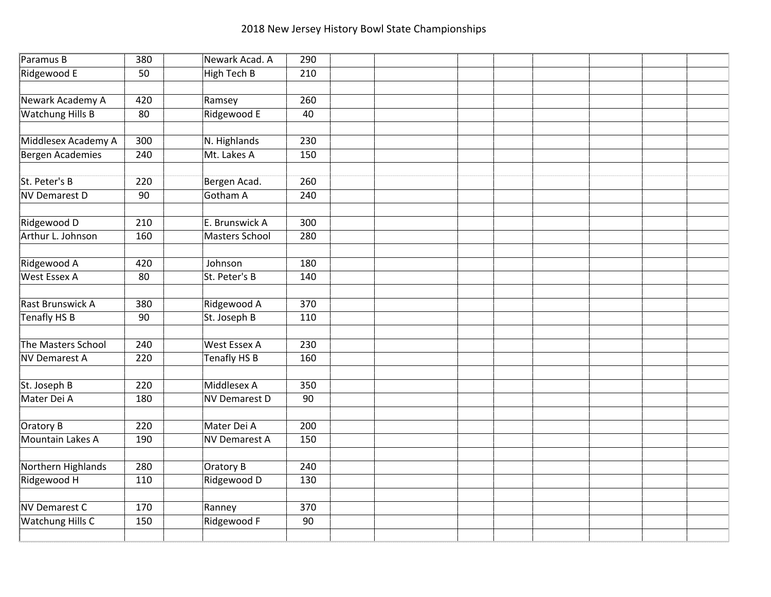| Paramus B               | 380 | Newark Acad. A       | 290 |  |  |  |  |
|-------------------------|-----|----------------------|-----|--|--|--|--|
| Ridgewood E             | 50  | <b>High Tech B</b>   | 210 |  |  |  |  |
|                         |     |                      |     |  |  |  |  |
| Newark Academy A        | 420 | Ramsey               | 260 |  |  |  |  |
| <b>Watchung Hills B</b> | 80  | Ridgewood E          | 40  |  |  |  |  |
|                         |     |                      |     |  |  |  |  |
| Middlesex Academy A     | 300 | N. Highlands         | 230 |  |  |  |  |
| Bergen Academies        | 240 | Mt. Lakes A          | 150 |  |  |  |  |
|                         |     |                      |     |  |  |  |  |
| St. Peter's B           | 220 | Bergen Acad.         | 260 |  |  |  |  |
| NV Demarest D           | 90  | Gotham A             | 240 |  |  |  |  |
|                         |     |                      |     |  |  |  |  |
| Ridgewood D             | 210 | E. Brunswick A       | 300 |  |  |  |  |
| Arthur L. Johnson       | 160 | Masters School       | 280 |  |  |  |  |
|                         |     |                      |     |  |  |  |  |
| Ridgewood A             | 420 | Johnson              | 180 |  |  |  |  |
| West Essex A            | 80  | St. Peter's B        | 140 |  |  |  |  |
|                         |     |                      |     |  |  |  |  |
| Rast Brunswick A        | 380 | Ridgewood A          | 370 |  |  |  |  |
| Tenafly HS B            | 90  | St. Joseph B         | 110 |  |  |  |  |
|                         |     |                      |     |  |  |  |  |
| The Masters School      | 240 | <b>West Essex A</b>  | 230 |  |  |  |  |
| <b>NV Demarest A</b>    | 220 | <b>Tenafly HS B</b>  | 160 |  |  |  |  |
|                         |     |                      |     |  |  |  |  |
| St. Joseph B            | 220 | Middlesex A          | 350 |  |  |  |  |
| Mater Dei A             | 180 | <b>NV Demarest D</b> | 90  |  |  |  |  |
|                         |     |                      |     |  |  |  |  |
| Oratory B               | 220 | Mater Dei A          | 200 |  |  |  |  |
| Mountain Lakes A        | 190 | <b>NV Demarest A</b> | 150 |  |  |  |  |
|                         |     |                      |     |  |  |  |  |
| Northern Highlands      | 280 | Oratory B            | 240 |  |  |  |  |
| Ridgewood H             | 110 | Ridgewood D          | 130 |  |  |  |  |
|                         |     |                      |     |  |  |  |  |
| NV Demarest C           | 170 | Ranney               | 370 |  |  |  |  |
| <b>Watchung Hills C</b> | 150 | Ridgewood F          | 90  |  |  |  |  |
|                         |     |                      |     |  |  |  |  |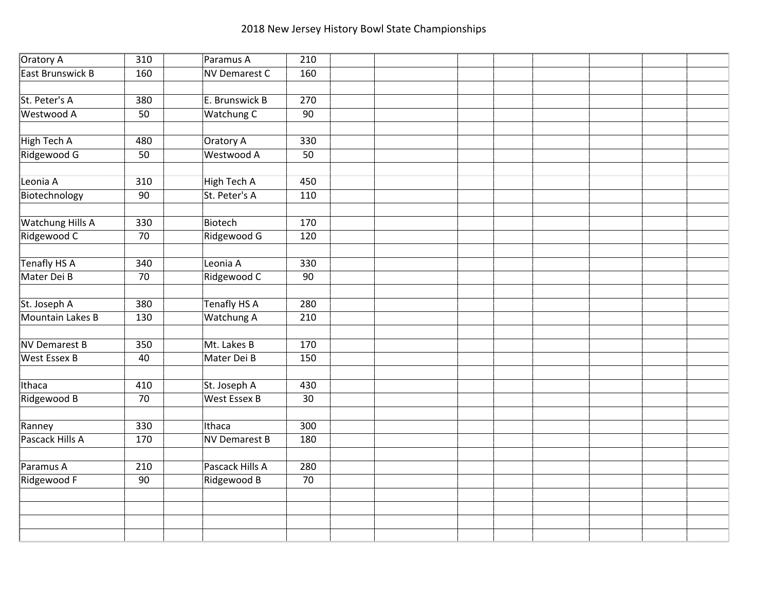| Oratory A               | 310 | Paramus A            | 210 |  |  |  |  |
|-------------------------|-----|----------------------|-----|--|--|--|--|
| East Brunswick B        | 160 | <b>NV Demarest C</b> | 160 |  |  |  |  |
|                         |     |                      |     |  |  |  |  |
| St. Peter's A           | 380 | E. Brunswick B       | 270 |  |  |  |  |
| Westwood A              | 50  | Watchung C           | 90  |  |  |  |  |
|                         |     |                      |     |  |  |  |  |
| High Tech A             | 480 | Oratory A            | 330 |  |  |  |  |
| Ridgewood G             | 50  | Westwood A           | 50  |  |  |  |  |
|                         |     |                      |     |  |  |  |  |
| Leonia A                | 310 | <b>High Tech A</b>   | 450 |  |  |  |  |
| Biotechnology           | 90  | St. Peter's A        | 110 |  |  |  |  |
|                         |     |                      |     |  |  |  |  |
| <b>Watchung Hills A</b> | 330 | Biotech              | 170 |  |  |  |  |
| Ridgewood C             | 70  | Ridgewood G          | 120 |  |  |  |  |
|                         |     |                      |     |  |  |  |  |
| Tenafly HS A            | 340 | Leonia A             | 330 |  |  |  |  |
| Mater Dei B             | 70  | Ridgewood C          | 90  |  |  |  |  |
|                         |     |                      |     |  |  |  |  |
| St. Joseph A            | 380 | <b>Tenafly HS A</b>  | 280 |  |  |  |  |
| Mountain Lakes B        | 130 | <b>Watchung A</b>    | 210 |  |  |  |  |
|                         |     |                      |     |  |  |  |  |
| <b>NV Demarest B</b>    | 350 | Mt. Lakes B          | 170 |  |  |  |  |
| <b>West Essex B</b>     | 40  | Mater Dei B          | 150 |  |  |  |  |
|                         |     |                      |     |  |  |  |  |
| Ithaca                  | 410 | St. Joseph A         | 430 |  |  |  |  |
| Ridgewood B             | 70  | West Essex B         | 30  |  |  |  |  |
|                         |     |                      |     |  |  |  |  |
| Ranney                  | 330 | Ithaca               | 300 |  |  |  |  |
| Pascack Hills A         | 170 | <b>NV Demarest B</b> | 180 |  |  |  |  |
|                         |     |                      |     |  |  |  |  |
| Paramus A               | 210 | Pascack Hills A      | 280 |  |  |  |  |
| Ridgewood F             | 90  | Ridgewood B          | 70  |  |  |  |  |
|                         |     |                      |     |  |  |  |  |
|                         |     |                      |     |  |  |  |  |
|                         |     |                      |     |  |  |  |  |
|                         |     |                      |     |  |  |  |  |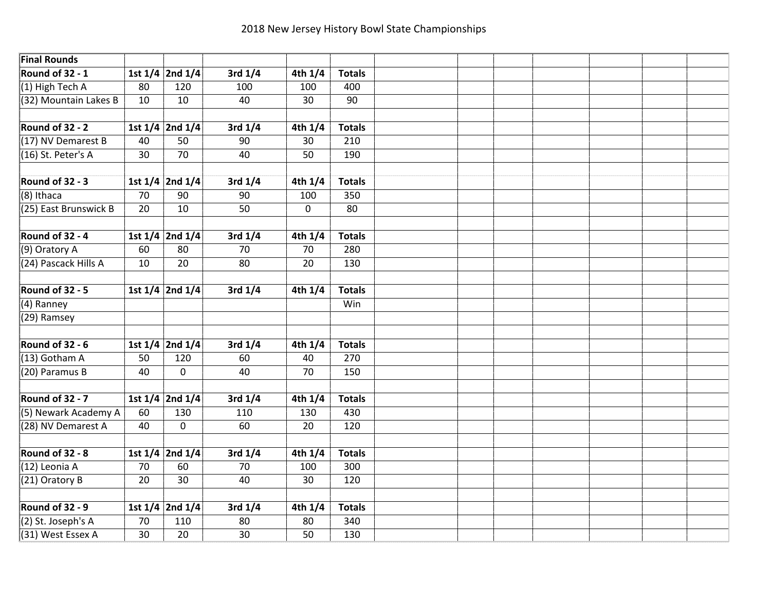| <b>Final Rounds</b>    |                 |                                           |             |             |                 |  |  |  |  |
|------------------------|-----------------|-------------------------------------------|-------------|-------------|-----------------|--|--|--|--|
| <b>Round of 32 - 1</b> |                 | 1st $1/4$ 2nd $1/4$                       | 3rd $1/4$   | 4th $1/4$   | <b>Totals</b>   |  |  |  |  |
| (1) High Tech A        | 80              | 120                                       | 100         | 100         | 400             |  |  |  |  |
| (32) Mountain Lakes B  | 10              | 10                                        | 40          | 30          | $\overline{90}$ |  |  |  |  |
|                        |                 |                                           |             |             |                 |  |  |  |  |
| <b>Round of 32 - 2</b> |                 | 1st $1/4$ 2nd $1/4$                       | $3rd$ $1/4$ | 4th $1/4$   | <b>Totals</b>   |  |  |  |  |
| (17) NV Demarest B     | 40              | 50                                        | 90          | 30          | 210             |  |  |  |  |
| (16) St. Peter's A     | 30              | $\overline{70}$                           | 40          | 50          | 190             |  |  |  |  |
|                        |                 |                                           |             |             |                 |  |  |  |  |
| Round of 32 - 3        |                 | 1st 1/4 2nd 1/4                           | $3rd$ $1/4$ | $4th$ $1/4$ | <b>Totals</b>   |  |  |  |  |
| $(8)$ Ithaca           | 70              | 90                                        | 90          | 100         | 350             |  |  |  |  |
| (25) East Brunswick B  | 20              | 10                                        | 50          | $\mathbf 0$ | 80              |  |  |  |  |
|                        |                 |                                           |             |             |                 |  |  |  |  |
| Round of 32 - 4        |                 | 1st $\overline{1/4}$ 2nd $\overline{1/4}$ | $3rd$ $1/4$ | 4th $1/4$   | <b>Totals</b>   |  |  |  |  |
| (9) Oratory A          | 60              | 80                                        | 70          | 70          | 280             |  |  |  |  |
| (24) Pascack Hills A   | 10              | 20                                        | 80          | 20          | 130             |  |  |  |  |
|                        |                 |                                           |             |             |                 |  |  |  |  |
| <b>Round of 32 - 5</b> |                 | 1st $1/4$ 2nd $1/4$                       | $3rd$ 1/4   | 4th $1/4$   | <b>Totals</b>   |  |  |  |  |
| (4) Ranney             |                 |                                           |             |             | Win             |  |  |  |  |
| $(29)$ Ramsey          |                 |                                           |             |             |                 |  |  |  |  |
|                        |                 |                                           |             |             |                 |  |  |  |  |
| Round of 32 - 6        |                 | 1st 1/4 2nd 1/4                           | $3rd$ $1/4$ | 4th 1/4     | <b>Totals</b>   |  |  |  |  |
| $(13)$ Gotham A        | 50              | 120                                       | 60          | 40          | 270             |  |  |  |  |
| (20) Paramus B         | 40              | $\mathbf{0}$                              | 40          | 70          | 150             |  |  |  |  |
|                        |                 |                                           |             |             |                 |  |  |  |  |
| Round of 32 - 7        |                 | 1st $1/4$ 2nd $1/4$                       | 3rd $1/4$   | 4th $1/4$   | <b>Totals</b>   |  |  |  |  |
| (5) Newark Academy A   | 60              | 130                                       | 110         | 130         | 430             |  |  |  |  |
| (28) NV Demarest A     | 40              | $\overline{0}$                            | 60          | 20          | 120             |  |  |  |  |
|                        |                 |                                           |             |             |                 |  |  |  |  |
| Round of 32 - 8        |                 | 1st $1/4$ 2nd $1/4$                       | $3rd$ $1/4$ | $4th$ $1/4$ | <b>Totals</b>   |  |  |  |  |
| (12) Leonia A          | 70              | 60                                        | 70          | 100         | 300             |  |  |  |  |
| $(21)$ Oratory B       | 20              | 30                                        | 40          | 30          | 120             |  |  |  |  |
|                        |                 |                                           |             |             |                 |  |  |  |  |
| <b>Round of 32 - 9</b> |                 | 1st 1/4 2nd 1/4                           | 3rd $1/4$   | 4th 1/4     | <b>Totals</b>   |  |  |  |  |
| $(2)$ St. Joseph's A   | 70              | 110                                       | 80          | 80          | 340             |  |  |  |  |
| (31) West Essex A      | $\overline{30}$ | 20                                        | 30          | 50          | 130             |  |  |  |  |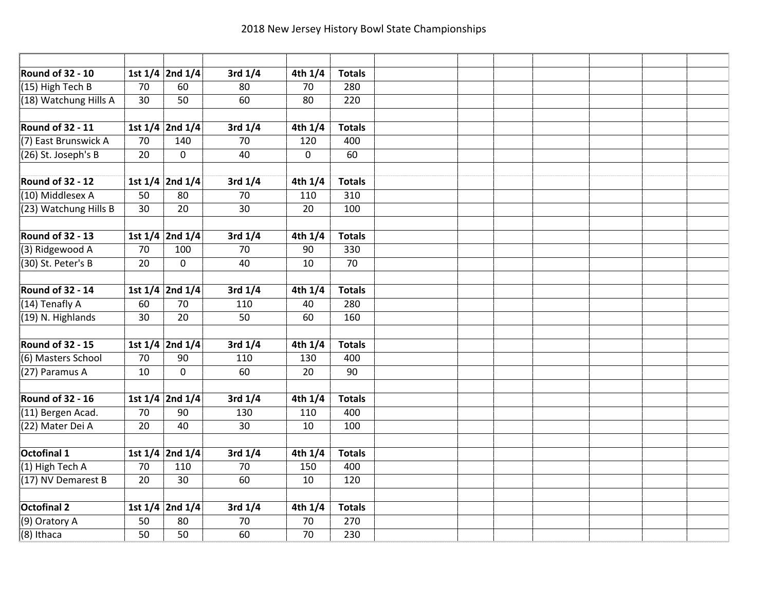| <b>Round of 32 - 10</b> |                 | 1st 1/4 2nd 1/4     | $3rd$ $1/4$     | $4th$ $1/4$    | <b>Totals</b> |  |  |  |  |
|-------------------------|-----------------|---------------------|-----------------|----------------|---------------|--|--|--|--|
| $(15)$ High Tech B      | 70              | 60                  | 80              | 70             | 280           |  |  |  |  |
| (18) Watchung Hills A   | 30              | 50                  | 60              | 80             | 220           |  |  |  |  |
|                         |                 |                     |                 |                |               |  |  |  |  |
| Round of 32 - 11        |                 | 1st $1/4$ 2nd $1/4$ | $3rd$ 1/4       | 4th $1/4$      | <b>Totals</b> |  |  |  |  |
| (7) East Brunswick A    | 70              | 140                 | 70              | 120            | 400           |  |  |  |  |
| $(26)$ St. Joseph's B   | $\overline{20}$ | $\mathbf{0}$        | 40              | $\overline{0}$ | 60            |  |  |  |  |
|                         |                 |                     |                 |                |               |  |  |  |  |
| Round of 32 - 12        |                 | 1st 1/4 2nd 1/4     | 3rd $1/4$       | $4th$ $1/4$    | <b>Totals</b> |  |  |  |  |
| $(10)$ Middlesex A      | 50              | 80                  | 70              | 110            | 310           |  |  |  |  |
| $(23)$ Watchung Hills B | 30              | 20                  | $\overline{30}$ | 20             | 100           |  |  |  |  |
|                         |                 |                     |                 |                |               |  |  |  |  |
| <b>Round of 32 - 13</b> |                 | 1st 1/4 2nd 1/4     | $3rd$ $1/4$     | 4th $1/4$      | <b>Totals</b> |  |  |  |  |
| (3) Ridgewood A         | 70              | 100                 | 70              | 90             | 330           |  |  |  |  |
| (30) St. Peter's B      | 20              | $\mathbf{0}$        | 40              | 10             | 70            |  |  |  |  |
|                         |                 |                     |                 |                |               |  |  |  |  |
| Round of 32 - 14        |                 | 1st 1/4 2nd 1/4     | $3rd$ $1/4$     | 4th $1/4$      | <b>Totals</b> |  |  |  |  |
| $(14)$ Tenafly A        | 60              | 70                  | 110             | 40             | 280           |  |  |  |  |
| (19) N. Highlands       | 30              | 20                  | 50              | 60             | 160           |  |  |  |  |
|                         |                 |                     |                 |                |               |  |  |  |  |
| <b>Round of 32 - 15</b> |                 | 1st $1/4$ 2nd $1/4$ | 3rd $1/4$       | 4th $1/4$      | <b>Totals</b> |  |  |  |  |
| (6) Masters School      | 70              | 90                  | 110             | 130            | 400           |  |  |  |  |
| (27) Paramus A          | 10              | $\mathbf{0}$        | 60              | 20             | 90            |  |  |  |  |
|                         |                 |                     |                 |                |               |  |  |  |  |
| Round of 32 - 16        |                 | 1st $1/4$ 2nd $1/4$ | 3rd $1/4$       | 4th $1/4$      | <b>Totals</b> |  |  |  |  |
| $(11)$ Bergen Acad.     | 70              | 90                  | 130             | 110            | 400           |  |  |  |  |
| (22) Mater Dei A        | 20              | 40                  | 30              | 10             | 100           |  |  |  |  |
|                         |                 |                     |                 |                |               |  |  |  |  |
| <b>Octofinal 1</b>      |                 | 1st $1/4$ 2nd $1/4$ | $3rd$ $1/4$     | 4th $1/4$      | <b>Totals</b> |  |  |  |  |
| $(1)$ High Tech A       | 70              | 110                 | 70              | 150            | 400           |  |  |  |  |
| (17) NV Demarest B      | 20              | 30                  | 60              | 10             | 120           |  |  |  |  |
|                         |                 |                     |                 |                |               |  |  |  |  |
| <b>Octofinal 2</b>      |                 | 1st 1/4 2nd 1/4     | 3rd $1/4$       | 4th $1/4$      | <b>Totals</b> |  |  |  |  |
| (9) Oratory A           | 50              | 80                  | 70              | 70             | 270           |  |  |  |  |
| $(8)$ Ithaca            | 50              | 50                  | 60              | 70             | 230           |  |  |  |  |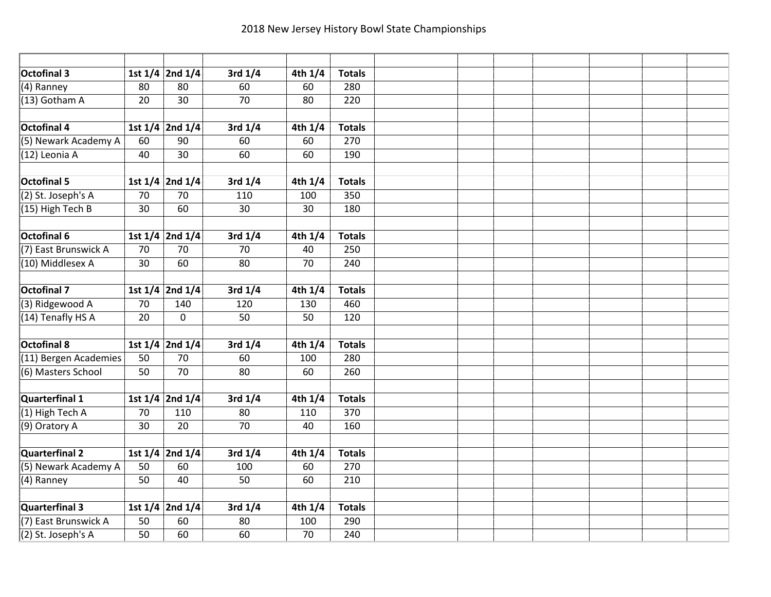| <b>Octofinal 3</b>    |    | 1st 1/4 2nd 1/4     | $3rd$ $1/4$     | $4th$ $1/4$          | <b>Totals</b> |  |  |  |  |
|-----------------------|----|---------------------|-----------------|----------------------|---------------|--|--|--|--|
| (4) Ranney            | 80 | 80                  | 60              | 60                   | 280           |  |  |  |  |
| (13) Gotham A         | 20 | $\overline{30}$     | 70              | 80                   | 220           |  |  |  |  |
|                       |    |                     |                 |                      |               |  |  |  |  |
| <b>Octofinal 4</b>    |    | 1st $1/4$ 2nd $1/4$ | $3rd$ 1/4       | 4th $1/\overline{4}$ | <b>Totals</b> |  |  |  |  |
| (5) Newark Academy A  | 60 | 90                  | 60              | 60                   | 270           |  |  |  |  |
| (12) Leonia A         | 40 | 30                  | 60              | 60                   | 190           |  |  |  |  |
|                       |    |                     |                 |                      |               |  |  |  |  |
| <b>Octofinal 5</b>    |    | 1st 1/4 2nd 1/4     | $3rd$ $1/4$     | $4th$ $1/4$          | <b>Totals</b> |  |  |  |  |
| $(2)$ St. Joseph's A  | 70 | 70                  | 110             | 100                  | 350           |  |  |  |  |
| (15) High Tech B      | 30 | $\overline{60}$     | $\overline{30}$ | 30                   | 180           |  |  |  |  |
|                       |    |                     |                 |                      |               |  |  |  |  |
| Octofinal 6           |    | 1st 1/4 2nd 1/4     | $3rd$ $1/4$     | 4th 1/4              | <b>Totals</b> |  |  |  |  |
| (7) East Brunswick A  | 70 | 70                  | 70              | 40                   | 250           |  |  |  |  |
| (10) Middlesex A      | 30 | 60                  | 80              | 70                   | 240           |  |  |  |  |
|                       |    |                     |                 |                      |               |  |  |  |  |
| <b>Octofinal 7</b>    |    | 1st 1/4 2nd 1/4     | $3rd$ $1/4$     | 4th 1/4              | <b>Totals</b> |  |  |  |  |
| (3) Ridgewood A       | 70 | 140                 | 120             | 130                  | 460           |  |  |  |  |
| (14) Tenafly HS A     | 20 | $\mathbf 0$         | 50              | 50                   | 120           |  |  |  |  |
|                       |    |                     |                 |                      |               |  |  |  |  |
| <b>Octofinal 8</b>    |    | 1st 1/4 2nd 1/4     | $3rd$ $1/4$     | 4th 1/4              | <b>Totals</b> |  |  |  |  |
| (11) Bergen Academies | 50 | $\overline{70}$     | 60              | 100                  | 280           |  |  |  |  |
| (6) Masters School    | 50 | 70                  | 80              | 60                   | 260           |  |  |  |  |
|                       |    |                     |                 |                      |               |  |  |  |  |
| Quarterfinal 1        |    | 1st $1/4$ 2nd $1/4$ | $3rd$ $1/4$     | 4th $1/4$            | <b>Totals</b> |  |  |  |  |
| $(1)$ High Tech A     | 70 | 110                 | 80              | 110                  | 370           |  |  |  |  |
| (9) Oratory A         | 30 | $\overline{20}$     | $\overline{70}$ | 40                   | 160           |  |  |  |  |
|                       |    |                     |                 |                      |               |  |  |  |  |
| <b>Quarterfinal 2</b> |    | 1st 1/4 2nd 1/4     | $3rd$ $1/4$     | 4th $1/4$            | <b>Totals</b> |  |  |  |  |
| (5) Newark Academy A  | 50 | 60                  | 100             | 60                   | 270           |  |  |  |  |
| (4) Ranney            | 50 | 40                  | 50              | 60                   | 210           |  |  |  |  |
|                       |    |                     |                 |                      |               |  |  |  |  |
| Quarterfinal 3        |    | 1st 1/4 2nd 1/4     | $3rd$ $1/4$     | 4th $1/4$            | <b>Totals</b> |  |  |  |  |
| (7) East Brunswick A  | 50 | 60                  | 80              | 100                  | 290           |  |  |  |  |
| (2) St. Joseph's A    | 50 | 60                  | 60              | 70                   | 240           |  |  |  |  |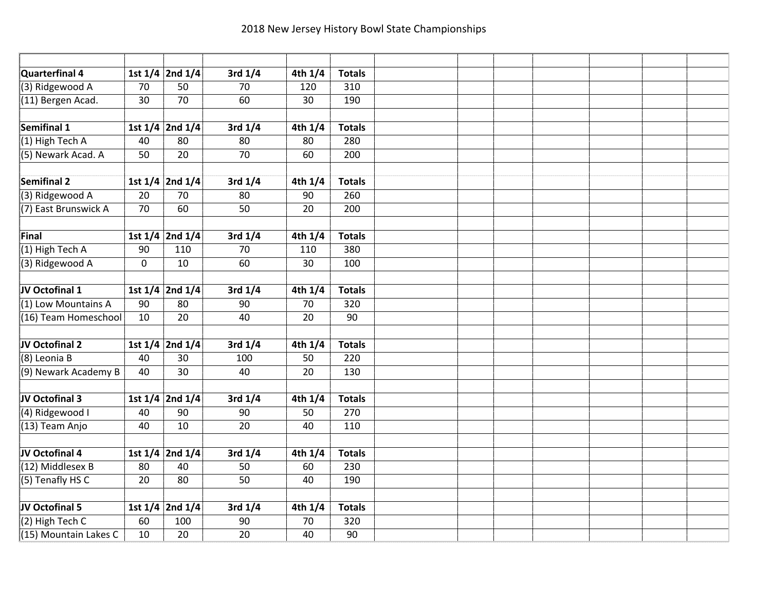| Quarterfinal 4        |             | 1st 1/4 2nd 1/4     | $3rd$ $1/4$     | $4th$ $1/4$ | <b>Totals</b> |  |  |  |  |
|-----------------------|-------------|---------------------|-----------------|-------------|---------------|--|--|--|--|
| (3) Ridgewood A       | 70          | 50                  | 70              | 120         | 310           |  |  |  |  |
| (11) Bergen Acad.     | 30          | $\overline{70}$     | 60              | 30          | 190           |  |  |  |  |
|                       |             |                     |                 |             |               |  |  |  |  |
| Semifinal 1           |             | 1st $1/4$ 2nd $1/4$ | $3rd$ 1/4       | 4th $1/4$   | <b>Totals</b> |  |  |  |  |
| $(1)$ High Tech A     | 40          | 80                  | 80              | 80          | 280           |  |  |  |  |
| (5) Newark Acad. A    | 50          | 20                  | $\overline{70}$ | 60          | 200           |  |  |  |  |
|                       |             |                     |                 |             |               |  |  |  |  |
| Semifinal 2           |             | 1st 1/4 2nd 1/4     | 3rd $1/4$       | $4th$ $1/4$ | <b>Totals</b> |  |  |  |  |
| (3) Ridgewood A       | 20          | 70                  | 80              | 90          | 260           |  |  |  |  |
| (7) East Brunswick A  | 70          | $\overline{60}$     | $\overline{50}$ | 20          | 200           |  |  |  |  |
|                       |             |                     |                 |             |               |  |  |  |  |
| Final                 |             | 1st 1/4 2nd 1/4     | $3rd$ $1/4$     | 4th $1/4$   | <b>Totals</b> |  |  |  |  |
| $(1)$ High Tech A     | 90          | 110                 | 70              | 110         | 380           |  |  |  |  |
| (3) Ridgewood A       | $\mathbf 0$ | 10                  | 60              | 30          | 100           |  |  |  |  |
|                       |             |                     |                 |             |               |  |  |  |  |
| JV Octofinal 1        |             | 1st 1/4 2nd 1/4     | $3rd$ $1/4$     | 4th 1/4     | <b>Totals</b> |  |  |  |  |
| (1) Low Mountains A   | 90          | 80                  | 90              | 70          | 320           |  |  |  |  |
| (16) Team Homeschool  | 10          | 20                  | 40              | 20          | 90            |  |  |  |  |
|                       |             |                     |                 |             |               |  |  |  |  |
| JV Octofinal 2        |             | 1st $1/4$ 2nd $1/4$ | 3rd $1/4$       | 4th 1/4     | <b>Totals</b> |  |  |  |  |
| (8) Leonia B          | 40          | 30                  | 100             | 50          | 220           |  |  |  |  |
| (9) Newark Academy B  | 40          | 30                  | 40              | 20          | 130           |  |  |  |  |
|                       |             |                     |                 |             |               |  |  |  |  |
| JV Octofinal 3        |             | 1st 1/4 2nd 1/4     | 3rd $1/4$       | 4th $1/4$   | <b>Totals</b> |  |  |  |  |
| (4) Ridgewood I       | 40          | 90                  | 90              | 50          | 270           |  |  |  |  |
| (13) Team Anjo        | 40          | 10                  | $\overline{20}$ | 40          | 110           |  |  |  |  |
|                       |             |                     |                 |             |               |  |  |  |  |
| JV Octofinal 4        |             | 1st 1/4 2nd 1/4     | $3rd$ $1/4$     | 4th $1/4$   | <b>Totals</b> |  |  |  |  |
| (12) Middlesex B      | 80          | 40                  | 50              | 60          | 230           |  |  |  |  |
| (5) Tenafly HS C      | 20          | 80                  | 50              | 40          | 190           |  |  |  |  |
|                       |             |                     |                 |             |               |  |  |  |  |
| JV Octofinal 5        |             | 1st 1/4 2nd 1/4     | 3rd $1/4$       | 4th $1/4$   | <b>Totals</b> |  |  |  |  |
| $(2)$ High Tech C     | 60          | 100                 | 90              | 70          | 320           |  |  |  |  |
| (15) Mountain Lakes C | 10          | 20                  | 20              | 40          | 90            |  |  |  |  |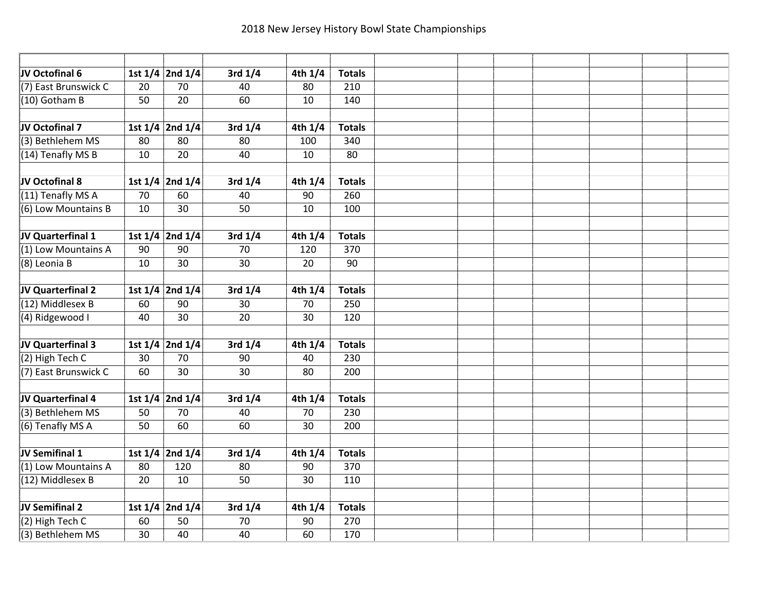| JV Octofinal 6        |                 | 1st 1/4 2nd 1/4     | $3rd$ $1/4$     | $4th$ $1/4$          | <b>Totals</b> |  |  |  |  |
|-----------------------|-----------------|---------------------|-----------------|----------------------|---------------|--|--|--|--|
| (7) East Brunswick C  | 20              | 70                  | 40              | 80                   | 210           |  |  |  |  |
| (10) Gotham B         | 50              | $\overline{20}$     | 60              | 10                   | 140           |  |  |  |  |
|                       |                 |                     |                 |                      |               |  |  |  |  |
| JV Octofinal 7        |                 | 1st $1/4$ 2nd $1/4$ | 3rd $1/4$       | 4th $1/\overline{4}$ | <b>Totals</b> |  |  |  |  |
| (3) Bethlehem MS      | 80              | 80                  | 80              | 100                  | 340           |  |  |  |  |
| $(14)$ Tenafly MS B   | 10              | 20                  | 40              | 10                   | 80            |  |  |  |  |
|                       |                 |                     |                 |                      |               |  |  |  |  |
| JV Octofinal 8        |                 | 1st 1/4 2nd 1/4     | 3rd $1/4$       | 4th $1/4$            | <b>Totals</b> |  |  |  |  |
| $(11)$ Tenafly MS A   | 70              | 60                  | 40              | 90                   | 260           |  |  |  |  |
| (6) Low Mountains B   | 10              | $\overline{30}$     | $\overline{50}$ | 10                   | 100           |  |  |  |  |
|                       |                 |                     |                 |                      |               |  |  |  |  |
| JV Quarterfinal 1     |                 | 1st 1/4 2nd 1/4     | $3rd$ $1/4$     | 4th $1/4$            | <b>Totals</b> |  |  |  |  |
| $(1)$ Low Mountains A | 90              | 90                  | 70              | 120                  | 370           |  |  |  |  |
| (8) Leonia B          | 10              | 30                  | 30              | 20                   | 90            |  |  |  |  |
|                       |                 |                     |                 |                      |               |  |  |  |  |
| JV Quarterfinal 2     |                 | 1st 1/4 2nd 1/4     | $3rd$ $1/4$     | 4th 1/4              | <b>Totals</b> |  |  |  |  |
| (12) Middlesex B      | 60              | 90                  | 30              | 70                   | 250           |  |  |  |  |
| (4) Ridgewood I       | 40              | 30                  | 20              | 30                   | 120           |  |  |  |  |
|                       |                 |                     |                 |                      |               |  |  |  |  |
| JV Quarterfinal 3     |                 | 1st $1/4$ 2nd $1/4$ | 3rd $1/4$       | 4th $1/4$            | <b>Totals</b> |  |  |  |  |
| $(2)$ High Tech C     | 30              | 70                  | $\overline{90}$ | 40                   | 230           |  |  |  |  |
| (7) East Brunswick C  | 60              | 30                  | 30              | 80                   | 200           |  |  |  |  |
|                       |                 |                     |                 |                      |               |  |  |  |  |
| JV Quarterfinal 4     |                 | 1st 1/4 2nd 1/4     | 3rd $1/4$       | 4th $1/4$            | <b>Totals</b> |  |  |  |  |
| (3) Bethlehem MS      | 50              | 70                  | 40              | 70                   | 230           |  |  |  |  |
| (6) Tenafly MS A      | 50              | 60                  | 60              | 30                   | 200           |  |  |  |  |
|                       |                 |                     |                 |                      |               |  |  |  |  |
| JV Semifinal 1        |                 | 1st $1/4$ 2nd $1/4$ | $3rd$ $1/4$     | 4th $1/4$            | <b>Totals</b> |  |  |  |  |
| (1) Low Mountains A   | 80              | 120                 | 80              | 90                   | 370           |  |  |  |  |
| (12) Middlesex B      | 20              | 10                  | 50              | 30                   | 110           |  |  |  |  |
|                       |                 |                     |                 |                      |               |  |  |  |  |
| JV Semifinal 2        |                 | 1st 1/4 2nd 1/4     | 3rd $1/4$       | 4th $1/4$            | <b>Totals</b> |  |  |  |  |
| $(2)$ High Tech C     | 60              | 50                  | 70              | 90                   | 270           |  |  |  |  |
| (3) Bethlehem MS      | $\overline{30}$ | 40                  | 40              | 60                   | 170           |  |  |  |  |